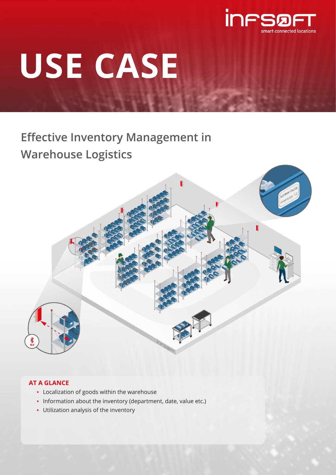

# **USE CASE**

# **Effective Inventory Management in Warehouse Logistics**



# **AT A GLANCE**

- Localization of goods within the warehouse
- Information about the inventory (department, date, value etc.)
- Utilization analysis of the inventory